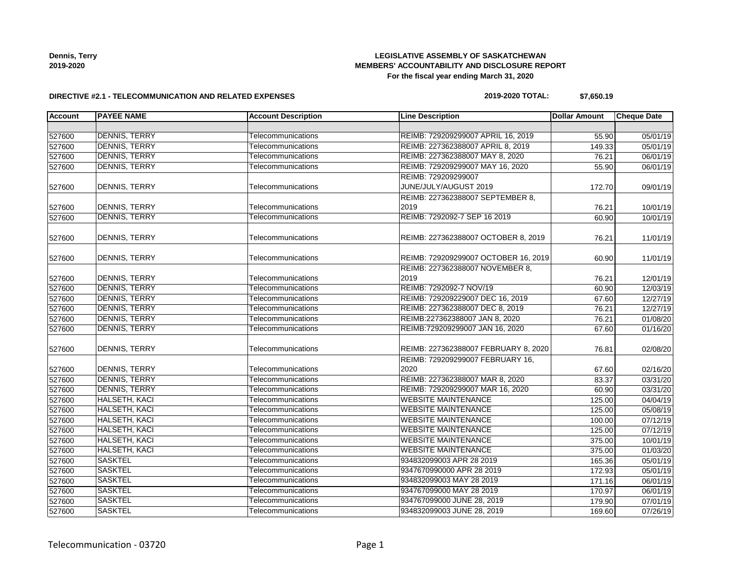**Dennis, Terry 2019-2020**

## **LEGISLATIVE ASSEMBLY OF SASKATCHEWAN MEMBERS' ACCOUNTABILITY AND DISCLOSURE REPORT For the fiscal year ending March 31, 2020**

### **DIRECTIVE #2.1 - TELECOMMUNICATION AND RELATED EXPENSES**

### **2019-2020 TOTAL: \$7,650.19**

| <b>Account</b> | <b>PAYEE NAME</b>    | <b>Account Description</b> | <b>Line Description</b>              | <b>Dollar Amount</b> | <b>Cheque Date</b> |
|----------------|----------------------|----------------------------|--------------------------------------|----------------------|--------------------|
|                |                      |                            |                                      |                      |                    |
| 527600         | <b>DENNIS, TERRY</b> | Telecommunications         | REIMB: 729209299007 APRIL 16, 2019   | 55.90                | 05/01/19           |
| 527600         | <b>DENNIS, TERRY</b> | Telecommunications         | REIMB: 227362388007 APRIL 8, 2019    | 149.33               | 05/01/19           |
| 527600         | <b>DENNIS, TERRY</b> | Telecommunications         | REIMB: 227362388007 MAY 8, 2020      | 76.21                | 06/01/19           |
| 527600         | <b>DENNIS, TERRY</b> | Telecommunications         | REIMB: 729209299007 MAY 16, 2020     | 55.90                | 06/01/19           |
|                |                      |                            | REIMB: 729209299007                  |                      |                    |
| 527600         | <b>DENNIS, TERRY</b> | Telecommunications         | JUNE/JULY/AUGUST 2019                | 172.70               | 09/01/19           |
|                |                      |                            | REIMB: 227362388007 SEPTEMBER 8,     |                      |                    |
| 527600         | <b>DENNIS, TERRY</b> | Telecommunications         | 2019                                 | 76.21                | 10/01/19           |
| 527600         | <b>DENNIS, TERRY</b> | Telecommunications         | REIMB: 7292092-7 SEP 16 2019         | 60.90                | 10/01/19           |
|                |                      |                            |                                      |                      |                    |
| 527600         | DENNIS, TERRY        | Telecommunications         | REIMB: 227362388007 OCTOBER 8, 2019  | 76.21                | 11/01/19           |
|                |                      |                            |                                      |                      |                    |
| 527600         | DENNIS, TERRY        | Telecommunications         | REIMB: 729209299007 OCTOBER 16, 2019 | 60.90                | 11/01/19           |
|                |                      |                            | REIMB: 227362388007 NOVEMBER 8,      |                      |                    |
| 527600         | <b>DENNIS, TERRY</b> | Telecommunications         | 2019                                 | 76.21                | 12/01/19           |
| 527600         | <b>DENNIS, TERRY</b> | Telecommunications         | REIMB: 7292092-7 NOV/19              | 60.90                | 12/03/19           |
| 527600         | <b>DENNIS, TERRY</b> | Telecommunications         | REIMB: 729209229007 DEC 16, 2019     | 67.60                | 12/27/19           |
| 527600         | <b>DENNIS, TERRY</b> | Telecommunications         | REIMB: 227362388007 DEC 8, 2019      | 76.21                | 12/27/19           |
| 527600         | <b>DENNIS, TERRY</b> | Telecommunications         | REIMB:227362388007 JAN 8, 2020       | 76.21                | 01/08/20           |
| 527600         | <b>DENNIS, TERRY</b> | Telecommunications         | REIMB:729209299007 JAN 16, 2020      | 67.60                | 01/16/20           |
|                |                      |                            |                                      |                      |                    |
| 527600         | DENNIS, TERRY        | Telecommunications         | REIMB: 227362388007 FEBRUARY 8, 2020 | 76.81                | 02/08/20           |
|                |                      |                            | REIMB: 729209299007 FEBRUARY 16,     |                      |                    |
| 527600         | <b>DENNIS, TERRY</b> | Telecommunications         | 2020                                 | 67.60                | 02/16/20           |
| 527600         | <b>DENNIS, TERRY</b> | Telecommunications         | REIMB: 227362388007 MAR 8, 2020      | 83.37                | 03/31/20           |
| 527600         | <b>DENNIS, TERRY</b> | Telecommunications         | REIMB: 729209299007 MAR 16, 2020     | 60.90                | 03/31/20           |
| 527600         | HALSETH, KACI        | Telecommunications         | <b>WEBSITE MAINTENANCE</b>           | 125.00               | 04/04/19           |
| 527600         | <b>HALSETH, KACI</b> | Telecommunications         | <b>WEBSITE MAINTENANCE</b>           | 125.00               | 05/08/19           |
| 527600         | <b>HALSETH, KACI</b> | Telecommunications         | <b>WEBSITE MAINTENANCE</b>           | 100.00               | 07/12/19           |
| 527600         | HALSETH, KACI        | Telecommunications         | <b>WEBSITE MAINTENANCE</b>           | 125.00               | 07/12/19           |
| 527600         | HALSETH, KACI        | Telecommunications         | <b>WEBSITE MAINTENANCE</b>           | 375.00               | 10/01/19           |
| 527600         | <b>HALSETH, KACI</b> | Telecommunications         | <b>WEBSITE MAINTENANCE</b>           | 375.00               | 01/03/20           |
| 527600         | <b>SASKTEL</b>       | Telecommunications         | 934832099003 APR 28 2019             | 165.36               | 05/01/19           |
| 527600         | <b>SASKTEL</b>       | Telecommunications         | 9347670990000 APR 28 2019            | 172.93               | 05/01/19           |
| 527600         | <b>SASKTEL</b>       | Telecommunications         | 934832099003 MAY 28 2019             | 171.16               | 06/01/19           |
| 527600         | <b>SASKTEL</b>       | Telecommunications         | 934767099000 MAY 28 2019             | 170.97               | 06/01/19           |
| 527600         | <b>SASKTEL</b>       | Telecommunications         | 934767099000 JUNE 28, 2019           | 179.90               | 07/01/19           |
| 527600         | <b>SASKTEL</b>       | Telecommunications         | 934832099003 JUNE 28, 2019           | 169.60               | 07/26/19           |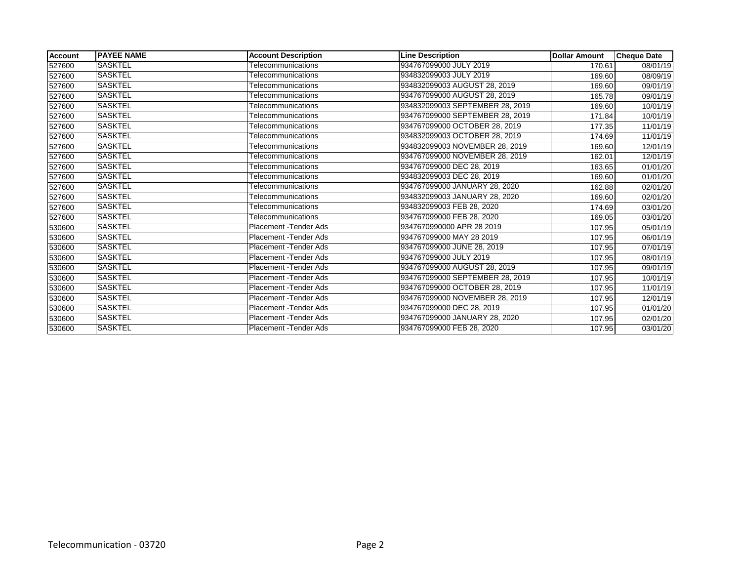| Account | <b>PAYEE NAME</b> | <b>Account Description</b> | <b>Line Description</b>         | <b>Dollar Amount</b> | <b>Cheque Date</b> |
|---------|-------------------|----------------------------|---------------------------------|----------------------|--------------------|
| 527600  | <b>SASKTEL</b>    | Telecommunications         | 934767099000 JULY 2019          | 170.61               | 08/01/19           |
| 527600  | <b>SASKTEL</b>    | Telecommunications         | 934832099003 JULY 2019          | 169.60               | 08/09/19           |
| 527600  | <b>SASKTEL</b>    | Telecommunications         | 934832099003 AUGUST 28, 2019    | 169.60               | 09/01/19           |
| 527600  | <b>SASKTEL</b>    | Telecommunications         | 934767099000 AUGUST 28, 2019    | 165.78               | 09/01/19           |
| 527600  | <b>SASKTEL</b>    | <b>Telecommunications</b>  | 934832099003 SEPTEMBER 28, 2019 | 169.60               | 10/01/19           |
| 527600  | <b>SASKTEL</b>    | Telecommunications         | 934767099000 SEPTEMBER 28, 2019 | 171.84               | 10/01/19           |
| 527600  | <b>SASKTEL</b>    | Telecommunications         | 934767099000 OCTOBER 28, 2019   | 177.35               | 11/01/19           |
| 527600  | <b>SASKTEL</b>    | <b>Telecommunications</b>  | 934832099003 OCTOBER 28, 2019   | 174.69               | 11/01/19           |
| 527600  | <b>SASKTEL</b>    | Telecommunications         | 934832099003 NOVEMBER 28, 2019  | 169.60               | 12/01/19           |
| 527600  | SASKTEL           | Telecommunications         | 934767099000 NOVEMBER 28, 2019  | 162.01               | 12/01/19           |
| 527600  | <b>SASKTEL</b>    | Telecommunications         | 934767099000 DEC 28, 2019       | 163.65               | 01/01/20           |
| 527600  | SASKTEL           | Telecommunications         | 934832099003 DEC 28, 2019       | 169.60               | 01/01/20           |
| 527600  | SASKTEL           | <b>Telecommunications</b>  | 934767099000 JANUARY 28, 2020   | 162.88               | 02/01/20           |
| 527600  | <b>SASKTEL</b>    | Telecommunications         | 934832099003 JANUARY 28, 2020   | 169.60               | 02/01/20           |
| 527600  | <b>SASKTEL</b>    | Telecommunications         | 934832099003 FEB 28, 2020       | 174.69               | 03/01/20           |
| 527600  | <b>SASKTEL</b>    | Telecommunications         | 934767099000 FEB 28, 2020       | 169.05               | 03/01/20           |
| 530600  | <b>SASKTEL</b>    | Placement - Tender Ads     | 9347670990000 APR 28 2019       | 107.95               | 05/01/19           |
| 530600  | SASKTEL           | Placement - Tender Ads     | 934767099000 MAY 28 2019        | 107.95               | 06/01/19           |
| 530600  | SASKTEL           | Placement - Tender Ads     | 934767099000 JUNE 28, 2019      | 107.95               | 07/01/19           |
| 530600  | <b>SASKTEL</b>    | Placement - Tender Ads     | 934767099000 JULY 2019          | 107.95               | 08/01/19           |
| 530600  | <b>SASKTEL</b>    | Placement - Tender Ads     | 934767099000 AUGUST 28, 2019    | 107.95               | 09/01/19           |
| 530600  | SASKTEL           | Placement - Tender Ads     | 934767099000 SEPTEMBER 28, 2019 | 107.95               | 10/01/19           |
| 530600  | <b>SASKTEL</b>    | Placement - Tender Ads     | 934767099000 OCTOBER 28, 2019   | 107.95               | 11/01/19           |
| 530600  | <b>SASKTEL</b>    | Placement - Tender Ads     | 934767099000 NOVEMBER 28, 2019  | 107.95               | 12/01/19           |
| 530600  | SASKTEL           | Placement - Tender Ads     | 934767099000 DEC 28, 2019       | 107.95               | 01/01/20           |
| 530600  | <b>SASKTEL</b>    | Placement - Tender Ads     | 934767099000 JANUARY 28, 2020   | 107.95               | 02/01/20           |
| 530600  | <b>SASKTEL</b>    | Placement - Tender Ads     | 934767099000 FEB 28, 2020       | 107.95               | 03/01/20           |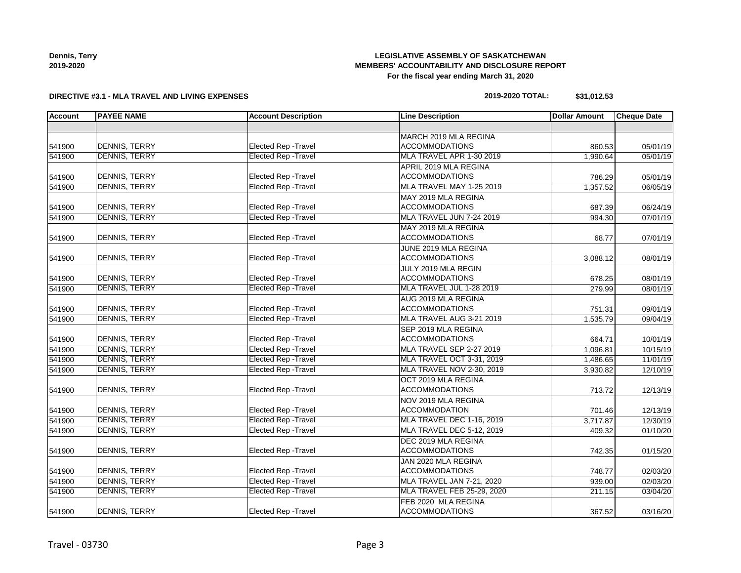| Dennis, Terry |
|---------------|
| 2019-2020     |

# **LEGISLATIVE ASSEMBLY OF SASKATCHEWAN MEMBERS' ACCOUNTABILITY AND DISCLOSURE REPORT For the fiscal year ending March 31, 2020**

## **DIRECTIVE #3.1 - MLA TRAVEL AND LIVING EXPENSES**

| 2019-2020 TOTAL: | \$31,012.53 |
|------------------|-------------|
|------------------|-------------|

| <b>Account</b> | <b>PAYEE NAME</b>    | <b>Account Description</b>  | <b>Line Description</b>    | <b>Dollar Amount</b> | <b>Cheque Date</b> |
|----------------|----------------------|-----------------------------|----------------------------|----------------------|--------------------|
|                |                      |                             |                            |                      |                    |
|                |                      |                             | MARCH 2019 MLA REGINA      |                      |                    |
| 541900         | <b>DENNIS, TERRY</b> | Elected Rep - Travel        | <b>ACCOMMODATIONS</b>      | 860.53               | 05/01/19           |
| 541900         | <b>DENNIS, TERRY</b> | Elected Rep - Travel        | MLA TRAVEL APR 1-30 2019   | 1,990.64             | 05/01/19           |
|                |                      |                             | APRIL 2019 MLA REGINA      |                      |                    |
| 541900         | <b>DENNIS, TERRY</b> | <b>Elected Rep - Travel</b> | <b>ACCOMMODATIONS</b>      | 786.29               | 05/01/19           |
| 541900         | <b>DENNIS, TERRY</b> | <b>Elected Rep - Travel</b> | MLA TRAVEL MAY 1-25 2019   | 1,357.52             | 06/05/19           |
|                |                      |                             | MAY 2019 MLA REGINA        |                      |                    |
| 541900         | <b>DENNIS, TERRY</b> | Elected Rep - Travel        | <b>ACCOMMODATIONS</b>      | 687.39               | 06/24/19           |
| 541900         | <b>DENNIS, TERRY</b> | <b>Elected Rep - Travel</b> | MLA TRAVEL JUN 7-24 2019   | 994.30               | 07/01/19           |
|                |                      |                             | MAY 2019 MLA REGINA        |                      |                    |
| 541900         | DENNIS, TERRY        | <b>Elected Rep - Travel</b> | <b>ACCOMMODATIONS</b>      | 68.77                | 07/01/19           |
|                |                      |                             | JUNE 2019 MLA REGINA       |                      |                    |
| 541900         | <b>DENNIS, TERRY</b> | Elected Rep - Travel        | <b>ACCOMMODATIONS</b>      | 3,088.12             | 08/01/19           |
|                |                      |                             | JULY 2019 MLA REGIN        |                      |                    |
| 541900         | <b>DENNIS, TERRY</b> | Elected Rep - Travel        | <b>ACCOMMODATIONS</b>      | 678.25               | 08/01/19           |
| 541900         | <b>DENNIS, TERRY</b> | <b>Elected Rep - Travel</b> | MLA TRAVEL JUL 1-28 2019   | 279.99               | 08/01/19           |
|                |                      |                             | AUG 2019 MLA REGINA        |                      |                    |
| 541900         | <b>DENNIS, TERRY</b> | <b>Elected Rep - Travel</b> | <b>ACCOMMODATIONS</b>      | 751.31               | 09/01/19           |
| 541900         | <b>DENNIS, TERRY</b> | <b>Elected Rep - Travel</b> | MLA TRAVEL AUG 3-21 2019   | 1,535.79             | 09/04/19           |
|                |                      |                             | SEP 2019 MLA REGINA        |                      |                    |
| 541900         | DENNIS, TERRY        | Elected Rep - Travel        | <b>ACCOMMODATIONS</b>      | 664.71               | 10/01/19           |
| 541900         | <b>DENNIS, TERRY</b> | <b>Elected Rep - Travel</b> | MLA TRAVEL SEP 2-27 2019   | 1,096.81             | 10/15/19           |
| 541900         | <b>DENNIS, TERRY</b> | <b>Elected Rep - Travel</b> | MLA TRAVEL OCT 3-31, 2019  | 1,486.65             | 11/01/19           |
| 541900         | <b>DENNIS, TERRY</b> | <b>Elected Rep - Travel</b> | MLA TRAVEL NOV 2-30, 2019  | 3,930.82             | 12/10/19           |
|                |                      |                             | OCT 2019 MLA REGINA        |                      |                    |
| 541900         | <b>DENNIS, TERRY</b> | Elected Rep - Travel        | <b>ACCOMMODATIONS</b>      | 713.72               | 12/13/19           |
|                |                      |                             | NOV 2019 MLA REGINA        |                      |                    |
| 541900         | <b>DENNIS, TERRY</b> | Elected Rep - Travel        | <b>ACCOMMODATION</b>       | 701.46               | 12/13/19           |
| 541900         | <b>DENNIS, TERRY</b> | <b>Elected Rep - Travel</b> | MLA TRAVEL DEC 1-16, 2019  | 3,717.87             | 12/30/19           |
| 541900         | <b>DENNIS, TERRY</b> | <b>Elected Rep - Travel</b> | MLA TRAVEL DEC 5-12, 2019  | 409.32               | 01/10/20           |
|                |                      |                             | DEC 2019 MLA REGINA        |                      |                    |
| 541900         | DENNIS, TERRY        | <b>Elected Rep - Travel</b> | <b>ACCOMMODATIONS</b>      | 742.35               | 01/15/20           |
|                |                      |                             | JAN 2020 MLA REGINA        |                      |                    |
| 541900         | <b>DENNIS, TERRY</b> | Elected Rep - Travel        | <b>ACCOMMODATIONS</b>      | 748.77               | 02/03/20           |
| 541900         | <b>DENNIS, TERRY</b> | <b>Elected Rep - Travel</b> | MLA TRAVEL JAN 7-21, 2020  | 939.00               | 02/03/20           |
| 541900         | <b>DENNIS, TERRY</b> | <b>Elected Rep - Travel</b> | MLA TRAVEL FEB 25-29, 2020 | 211.15               | 03/04/20           |
|                |                      |                             | FEB 2020 MLA REGINA        |                      |                    |
| 541900         | DENNIS, TERRY        | Elected Rep - Travel        | <b>ACCOMMODATIONS</b>      | 367.52               | 03/16/20           |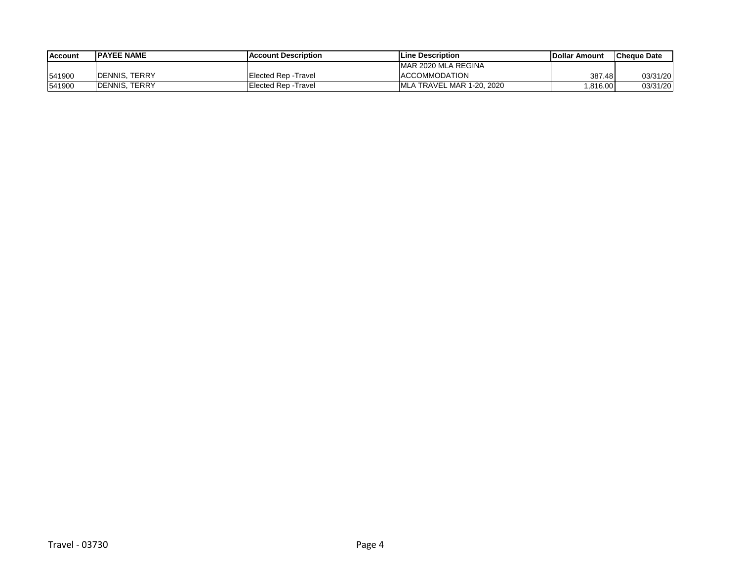| <b>Account</b> | <b>IPAYEE NAME</b>    | <b>IAccount Description</b> | <b>Line Description</b>   | <b>IDollar Amount</b> | <b>ICheque Date</b> |
|----------------|-----------------------|-----------------------------|---------------------------|-----------------------|---------------------|
|                |                       |                             | MAR 2020 MLA REGINA       |                       |                     |
| 541900         | <b>IDENNIS, TERRY</b> | Elected Rep - Travel        | <b>ACCOMMODATION</b>      | 387.48                | 03/31/20            |
| 541900         | <b>IDENNIS, TERRY</b> | Elected Rep - Travel        | MLA TRAVEL MAR 1-20, 2020 | ,816.00               | 03/31/20            |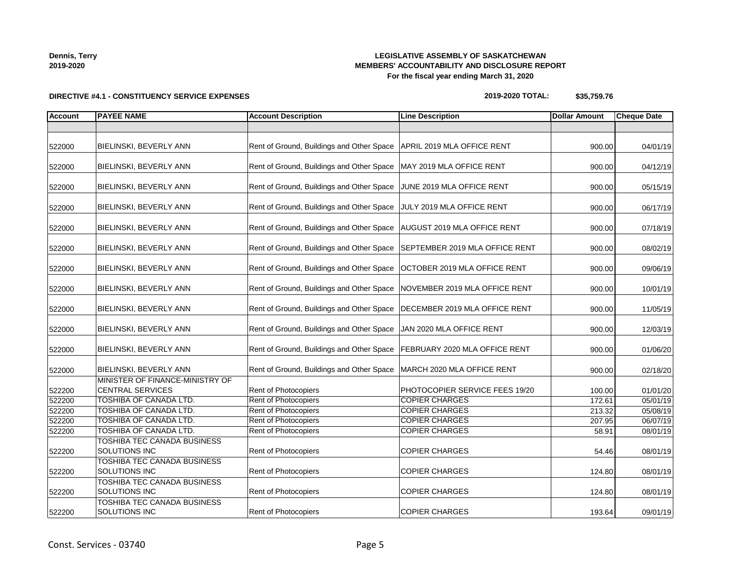**Dennis, Terry 2019-2020**

# **LEGISLATIVE ASSEMBLY OF SASKATCHEWAN MEMBERS' ACCOUNTABILITY AND DISCLOSURE REPORT For the fiscal year ending March 31, 2020**

# **DIRECTIVE #4.1 - CONSTITUENCY SERVICE EXPENSES**

| 2019-2020 TOTAL: | \$35,759.76 |
|------------------|-------------|
|                  |             |

| <b>Account</b> | <b>PAYEE NAME</b>                                          | <b>Account Description</b>                | <b>Line Description</b>            | <b>Dollar Amount</b> | <b>Cheque Date</b> |
|----------------|------------------------------------------------------------|-------------------------------------------|------------------------------------|----------------------|--------------------|
|                |                                                            |                                           |                                    |                      |                    |
| 522000         | BIELINSKI, BEVERLY ANN                                     | Rent of Ground, Buildings and Other Space | APRIL 2019 MLA OFFICE RENT         | 900.00               | 04/01/19           |
| 522000         | BIELINSKI, BEVERLY ANN                                     | Rent of Ground, Buildings and Other Space | MAY 2019 MLA OFFICE RENT           | 900.00               | 04/12/19           |
| 522000         | BIELINSKI, BEVERLY ANN                                     | Rent of Ground, Buildings and Other Space | JUNE 2019 MLA OFFICE RENT          | 900.00               | 05/15/19           |
| 522000         | BIELINSKI, BEVERLY ANN                                     | Rent of Ground, Buildings and Other Space | JULY 2019 MLA OFFICE RENT          | 900.00               | 06/17/19           |
| 522000         | BIELINSKI, BEVERLY ANN                                     | Rent of Ground, Buildings and Other Space | <b>AUGUST 2019 MLA OFFICE RENT</b> | 900.00               | 07/18/19           |
| 522000         | BIELINSKI, BEVERLY ANN                                     | Rent of Ground, Buildings and Other Space | SEPTEMBER 2019 MLA OFFICE RENT     | 900.00               | 08/02/19           |
| 522000         | BIELINSKI, BEVERLY ANN                                     | Rent of Ground, Buildings and Other Space | OCTOBER 2019 MLA OFFICE RENT       | 900.00               | 09/06/19           |
| 522000         | BIELINSKI, BEVERLY ANN                                     | Rent of Ground, Buildings and Other Space | NOVEMBER 2019 MLA OFFICE RENT      | 900.00               | 10/01/19           |
| 522000         | BIELINSKI, BEVERLY ANN                                     | Rent of Ground, Buildings and Other Space | DECEMBER 2019 MLA OFFICE RENT      | 900.00               | 11/05/19           |
| 522000         | BIELINSKI, BEVERLY ANN                                     | Rent of Ground, Buildings and Other Space | JAN 2020 MLA OFFICE RENT           | 900.00               | 12/03/19           |
| 522000         | BIELINSKI, BEVERLY ANN                                     | Rent of Ground, Buildings and Other Space | FEBRUARY 2020 MLA OFFICE RENT      | 900.00               | 01/06/20           |
| 522000         | BIELINSKI, BEVERLY ANN                                     | Rent of Ground, Buildings and Other Space | MARCH 2020 MLA OFFICE RENT         | 900.00               | 02/18/20           |
| 522200         | MINISTER OF FINANCE-MINISTRY OF<br><b>CENTRAL SERVICES</b> | Rent of Photocopiers                      | PHOTOCOPIER SERVICE FEES 19/20     | 100.00               | 01/01/20           |
| 522200         | TOSHIBA OF CANADA LTD.                                     | <b>Rent of Photocopiers</b>               | <b>COPIER CHARGES</b>              | 172.61               | 05/01/19           |
| 522200         | <b>TOSHIBA OF CANADA LTD.</b>                              | Rent of Photocopiers                      | <b>COPIER CHARGES</b>              | 213.32               | 05/08/19           |
| 522200         | TOSHIBA OF CANADA LTD.                                     | Rent of Photocopiers                      | <b>COPIER CHARGES</b>              | 207.95               | 06/07/19           |
| 522200         | <b>TOSHIBA OF CANADA LTD.</b>                              | <b>Rent of Photocopiers</b>               | <b>COPIER CHARGES</b>              | 58.91                | 08/01/19           |
| 522200         | TOSHIBA TEC CANADA BUSINESS<br>SOLUTIONS INC               | Rent of Photocopiers                      | <b>COPIER CHARGES</b>              | 54.46                | 08/01/19           |
| 522200         | TOSHIBA TEC CANADA BUSINESS<br>SOLUTIONS INC               | <b>Rent of Photocopiers</b>               | <b>COPIER CHARGES</b>              | 124.80               | 08/01/19           |
| 522200         | TOSHIBA TEC CANADA BUSINESS<br>SOLUTIONS INC               | Rent of Photocopiers                      | <b>COPIER CHARGES</b>              | 124.80               | 08/01/19           |
| 522200         | <b>TOSHIBA TEC CANADA BUSINESS</b><br>SOLUTIONS INC        | Rent of Photocopiers                      | <b>COPIER CHARGES</b>              | 193.64               | 09/01/19           |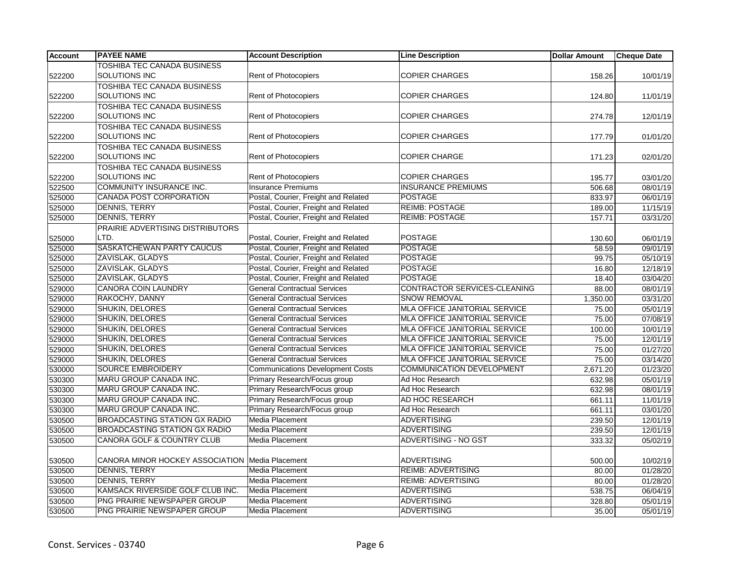| TOSHIBA TEC CANADA BUSINESS<br>SOLUTIONS INC<br>Rent of Photocopiers<br><b>COPIER CHARGES</b><br>158.26<br>522200<br><b>TOSHIBA TEC CANADA BUSINESS</b><br><b>SOLUTIONS INC</b><br><b>COPIER CHARGES</b><br>Rent of Photocopiers<br>522200<br>124.80<br><b>TOSHIBA TEC CANADA BUSINESS</b><br><b>SOLUTIONS INC</b><br><b>Rent of Photocopiers</b><br><b>COPIER CHARGES</b><br>522200<br>274.78<br><b>TOSHIBA TEC CANADA BUSINESS</b><br><b>SOLUTIONS INC</b><br><b>Rent of Photocopiers</b><br><b>COPIER CHARGES</b><br>522200<br>177.79<br><b>TOSHIBA TEC CANADA BUSINESS</b><br>SOLUTIONS INC<br>Rent of Photocopiers<br><b>COPIER CHARGE</b><br>522200<br>171.23<br><b>TOSHIBA TEC CANADA BUSINESS</b> | 10/01/19<br>11/01/19<br>12/01/19<br>01/01/20<br>02/01/20<br>03/01/20<br>08/01/19<br>06/01/19<br>11/15/19 |
|-----------------------------------------------------------------------------------------------------------------------------------------------------------------------------------------------------------------------------------------------------------------------------------------------------------------------------------------------------------------------------------------------------------------------------------------------------------------------------------------------------------------------------------------------------------------------------------------------------------------------------------------------------------------------------------------------------------|----------------------------------------------------------------------------------------------------------|
|                                                                                                                                                                                                                                                                                                                                                                                                                                                                                                                                                                                                                                                                                                           |                                                                                                          |
|                                                                                                                                                                                                                                                                                                                                                                                                                                                                                                                                                                                                                                                                                                           |                                                                                                          |
|                                                                                                                                                                                                                                                                                                                                                                                                                                                                                                                                                                                                                                                                                                           |                                                                                                          |
|                                                                                                                                                                                                                                                                                                                                                                                                                                                                                                                                                                                                                                                                                                           |                                                                                                          |
|                                                                                                                                                                                                                                                                                                                                                                                                                                                                                                                                                                                                                                                                                                           |                                                                                                          |
|                                                                                                                                                                                                                                                                                                                                                                                                                                                                                                                                                                                                                                                                                                           |                                                                                                          |
|                                                                                                                                                                                                                                                                                                                                                                                                                                                                                                                                                                                                                                                                                                           |                                                                                                          |
|                                                                                                                                                                                                                                                                                                                                                                                                                                                                                                                                                                                                                                                                                                           |                                                                                                          |
|                                                                                                                                                                                                                                                                                                                                                                                                                                                                                                                                                                                                                                                                                                           |                                                                                                          |
|                                                                                                                                                                                                                                                                                                                                                                                                                                                                                                                                                                                                                                                                                                           |                                                                                                          |
|                                                                                                                                                                                                                                                                                                                                                                                                                                                                                                                                                                                                                                                                                                           |                                                                                                          |
| <b>SOLUTIONS INC</b><br><b>Rent of Photocopiers</b><br><b>COPIER CHARGES</b><br>522200<br>195.77                                                                                                                                                                                                                                                                                                                                                                                                                                                                                                                                                                                                          |                                                                                                          |
| COMMUNITY INSURANCE INC.<br><b>Insurance Premiums</b><br><b>INSURANCE PREMIUMS</b><br>522500<br>506.68                                                                                                                                                                                                                                                                                                                                                                                                                                                                                                                                                                                                    |                                                                                                          |
| CANADA POST CORPORATION<br>Postal, Courier, Freight and Related<br><b>POSTAGE</b><br>525000<br>833.97                                                                                                                                                                                                                                                                                                                                                                                                                                                                                                                                                                                                     |                                                                                                          |
| Postal, Courier, Freight and Related<br><b>REIMB: POSTAGE</b><br>525000<br><b>DENNIS, TERRY</b><br>189.00                                                                                                                                                                                                                                                                                                                                                                                                                                                                                                                                                                                                 |                                                                                                          |
| Postal, Courier, Freight and Related<br><b>REIMB: POSTAGE</b><br>525000<br><b>DENNIS, TERRY</b><br>157.71                                                                                                                                                                                                                                                                                                                                                                                                                                                                                                                                                                                                 | 03/31/20                                                                                                 |
| PRAIRIE ADVERTISING DISTRIBUTORS                                                                                                                                                                                                                                                                                                                                                                                                                                                                                                                                                                                                                                                                          |                                                                                                          |
| Postal, Courier, Freight and Related<br><b>POSTAGE</b><br>LTD.<br>525000<br>130.60                                                                                                                                                                                                                                                                                                                                                                                                                                                                                                                                                                                                                        | 06/01/19                                                                                                 |
| Postal, Courier, Freight and Related<br><b>POSTAGE</b><br>SASKATCHEWAN PARTY CAUCUS<br>525000<br>58.59                                                                                                                                                                                                                                                                                                                                                                                                                                                                                                                                                                                                    | 09/01/19                                                                                                 |
| ZAVISLAK, GLADYS<br>Postal, Courier, Freight and Related<br><b>POSTAGE</b><br>525000<br>99.75                                                                                                                                                                                                                                                                                                                                                                                                                                                                                                                                                                                                             | 05/10/19                                                                                                 |
| ZAVISLAK, GLADYS<br>Postal, Courier, Freight and Related<br><b>POSTAGE</b><br>525000<br>16.80                                                                                                                                                                                                                                                                                                                                                                                                                                                                                                                                                                                                             | 12/18/19                                                                                                 |
| ZAVISLAK, GLADYS<br>Postal, Courier, Freight and Related<br><b>POSTAGE</b><br>525000<br>18.40                                                                                                                                                                                                                                                                                                                                                                                                                                                                                                                                                                                                             | 03/04/20                                                                                                 |
| <b>CANORA COIN LAUNDRY</b><br><b>General Contractual Services</b><br>CONTRACTOR SERVICES-CLEANING<br>529000<br>88.00                                                                                                                                                                                                                                                                                                                                                                                                                                                                                                                                                                                      | 08/01/19                                                                                                 |
| <b>General Contractual Services</b><br>RAKOCHY, DANNY<br><b>SNOW REMOVAL</b><br>529000<br>1,350.00                                                                                                                                                                                                                                                                                                                                                                                                                                                                                                                                                                                                        | 03/31/20                                                                                                 |
| MLA OFFICE JANITORIAL SERVICE<br>529000<br>SHUKIN, DELORES<br><b>General Contractual Services</b><br>75.00                                                                                                                                                                                                                                                                                                                                                                                                                                                                                                                                                                                                | 05/01/19                                                                                                 |
| SHUKIN, DELORES<br><b>General Contractual Services</b><br>MLA OFFICE JANITORIAL SERVICE<br>529000<br>75.00                                                                                                                                                                                                                                                                                                                                                                                                                                                                                                                                                                                                | 07/08/19                                                                                                 |
| SHUKIN, DELORES<br><b>General Contractual Services</b><br>MLA OFFICE JANITORIAL SERVICE<br>529000<br>100.00                                                                                                                                                                                                                                                                                                                                                                                                                                                                                                                                                                                               | 10/01/19                                                                                                 |
| <b>General Contractual Services</b><br>529000<br><b>SHUKIN, DELORES</b><br>MLA OFFICE JANITORIAL SERVICE<br>75.00                                                                                                                                                                                                                                                                                                                                                                                                                                                                                                                                                                                         | 12/01/19                                                                                                 |
| <b>SHUKIN, DELORES</b><br><b>General Contractual Services</b><br>MLA OFFICE JANITORIAL SERVICE<br>529000<br>75.00                                                                                                                                                                                                                                                                                                                                                                                                                                                                                                                                                                                         | 01/27/20                                                                                                 |
| SHUKIN, DELORES<br><b>General Contractual Services</b><br>MLA OFFICE JANITORIAL SERVICE<br>529000<br>75.00                                                                                                                                                                                                                                                                                                                                                                                                                                                                                                                                                                                                | 03/14/20                                                                                                 |
| <b>Communications Development Costs</b><br><b>SOURCE EMBROIDERY</b><br><b>COMMUNICATION DEVELOPMENT</b><br>530000<br>2,671.20                                                                                                                                                                                                                                                                                                                                                                                                                                                                                                                                                                             | 01/23/20                                                                                                 |
| 530300<br>MARU GROUP CANADA INC.<br>Primary Research/Focus group<br>Ad Hoc Research<br>632.98                                                                                                                                                                                                                                                                                                                                                                                                                                                                                                                                                                                                             | 05/01/19                                                                                                 |
| Primary Research/Focus group<br>530300<br>MARU GROUP CANADA INC.<br>Ad Hoc Research<br>632.98                                                                                                                                                                                                                                                                                                                                                                                                                                                                                                                                                                                                             | 08/01/19                                                                                                 |
| Primary Research/Focus group<br>530300<br>MARU GROUP CANADA INC.<br>AD HOC RESEARCH<br>661.11                                                                                                                                                                                                                                                                                                                                                                                                                                                                                                                                                                                                             | 11/01/19                                                                                                 |
| MARU GROUP CANADA INC.<br>Primary Research/Focus group<br>Ad Hoc Research<br>530300<br>661.11                                                                                                                                                                                                                                                                                                                                                                                                                                                                                                                                                                                                             | 03/01/20                                                                                                 |
| <b>BROADCASTING STATION GX RADIO</b><br>Media Placement<br><b>ADVERTISING</b><br>530500<br>239.50                                                                                                                                                                                                                                                                                                                                                                                                                                                                                                                                                                                                         | 12/01/19                                                                                                 |
| <b>ADVERTISING</b><br><b>BROADCASTING STATION GX RADIO</b><br>Media Placement<br>239.50<br>530500                                                                                                                                                                                                                                                                                                                                                                                                                                                                                                                                                                                                         | 12/01/19                                                                                                 |
| CANORA GOLF & COUNTRY CLUB<br>Media Placement<br>ADVERTISING - NO GST<br>530500<br>333.32                                                                                                                                                                                                                                                                                                                                                                                                                                                                                                                                                                                                                 | 05/02/19                                                                                                 |
|                                                                                                                                                                                                                                                                                                                                                                                                                                                                                                                                                                                                                                                                                                           |                                                                                                          |
| CANORA MINOR HOCKEY ASSOCIATION   Media Placement<br><b>ADVERTISING</b><br>530500<br>500.00                                                                                                                                                                                                                                                                                                                                                                                                                                                                                                                                                                                                               | 10/02/19                                                                                                 |
| <b>REIMB: ADVERTISING</b><br>DENNIS, TERRY<br>Media Placement<br>530500<br>80.00                                                                                                                                                                                                                                                                                                                                                                                                                                                                                                                                                                                                                          | 01/28/20                                                                                                 |
| <b>DENNIS, TERRY</b><br><b>Media Placement</b><br><b>REIMB: ADVERTISING</b><br>530500<br>80.00                                                                                                                                                                                                                                                                                                                                                                                                                                                                                                                                                                                                            | 01/28/20                                                                                                 |
| KAMSACK RIVERSIDE GOLF CLUB INC.<br>Media Placement<br><b>ADVERTISING</b><br>530500<br>538.75                                                                                                                                                                                                                                                                                                                                                                                                                                                                                                                                                                                                             | 06/04/19                                                                                                 |
| PNG PRAIRIE NEWSPAPER GROUP<br>Media Placement<br><b>ADVERTISING</b><br>530500<br>328.80                                                                                                                                                                                                                                                                                                                                                                                                                                                                                                                                                                                                                  | 05/01/19                                                                                                 |
| <b>ADVERTISING</b><br>530500<br>PNG PRAIRIE NEWSPAPER GROUP<br>Media Placement<br>35.00<br>05/01/19                                                                                                                                                                                                                                                                                                                                                                                                                                                                                                                                                                                                       |                                                                                                          |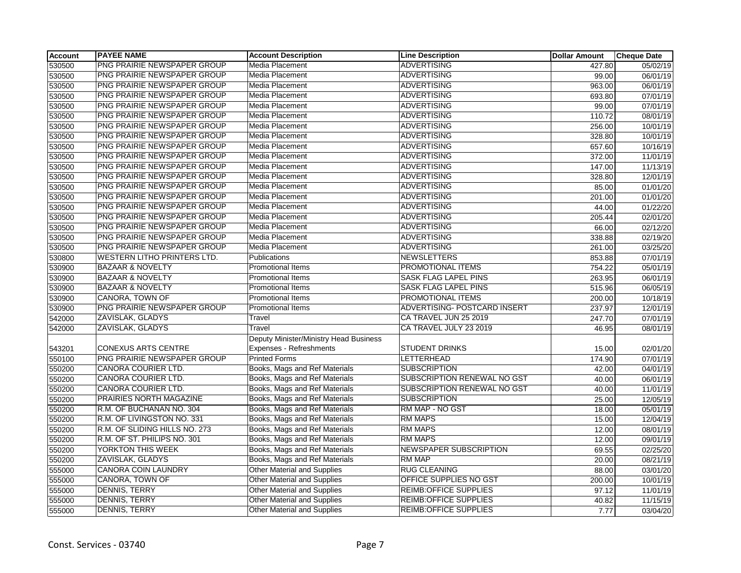| <b>Account</b> | <b>PAYEE NAME</b>                  | <b>Account Description</b>             | <b>Line Description</b>       | <b>Dollar Amount</b> | <b>Cheque Date</b> |
|----------------|------------------------------------|----------------------------------------|-------------------------------|----------------------|--------------------|
| 530500         | PNG PRAIRIE NEWSPAPER GROUP        | <b>Media Placement</b>                 | <b>ADVERTISING</b>            | 427.80               | 05/02/19           |
| 530500         | PNG PRAIRIE NEWSPAPER GROUP        | Media Placement                        | <b>ADVERTISING</b>            | 99.00                | 06/01/19           |
| 530500         | PNG PRAIRIE NEWSPAPER GROUP        | Media Placement                        | <b>ADVERTISING</b>            | 963.00               | 06/01/19           |
| 530500         | PNG PRAIRIE NEWSPAPER GROUP        | Media Placement                        | <b>ADVERTISING</b>            | 693.80               | 07/01/19           |
| 530500         | PNG PRAIRIE NEWSPAPER GROUP        | Media Placement                        | <b>ADVERTISING</b>            | 99.00                | 07/01/19           |
| 530500         | PNG PRAIRIE NEWSPAPER GROUP        | Media Placement                        | <b>ADVERTISING</b>            | 110.72               | 08/01/19           |
| 530500         | PNG PRAIRIE NEWSPAPER GROUP        | <b>Media Placement</b>                 | <b>ADVERTISING</b>            | 256.00               | 10/01/19           |
| 530500         | PNG PRAIRIE NEWSPAPER GROUP        | <b>Media Placement</b>                 | <b>ADVERTISING</b>            | 328.80               | 10/01/19           |
| 530500         | PNG PRAIRIE NEWSPAPER GROUP        | Media Placement                        | <b>ADVERTISING</b>            | 657.60               | 10/16/19           |
| 530500         | PNG PRAIRIE NEWSPAPER GROUP        | Media Placement                        | <b>ADVERTISING</b>            | 372.00               | 11/01/19           |
| 530500         | PNG PRAIRIE NEWSPAPER GROUP        | Media Placement                        | <b>ADVERTISING</b>            | 147.00               | 11/13/19           |
| 530500         | PNG PRAIRIE NEWSPAPER GROUP        | Media Placement                        | <b>ADVERTISING</b>            | 328.80               | 12/01/19           |
| 530500         | PNG PRAIRIE NEWSPAPER GROUP        | Media Placement                        | <b>ADVERTISING</b>            | 85.00                | 01/01/20           |
| 530500         | PNG PRAIRIE NEWSPAPER GROUP        | Media Placement                        | <b>ADVERTISING</b>            | 201.00               | 01/01/20           |
| 530500         | PNG PRAIRIE NEWSPAPER GROUP        | Media Placement                        | <b>ADVERTISING</b>            | 44.00                | 01/22/20           |
| 530500         | PNG PRAIRIE NEWSPAPER GROUP        | <b>Media Placement</b>                 | <b>ADVERTISING</b>            | 205.44               | 02/01/20           |
| 530500         | PNG PRAIRIE NEWSPAPER GROUP        | Media Placement                        | <b>ADVERTISING</b>            | 66.00                | 02/12/20           |
| 530500         | PNG PRAIRIE NEWSPAPER GROUP        | Media Placement                        | <b>ADVERTISING</b>            | 338.88               | 02/19/20           |
| 530500         | PNG PRAIRIE NEWSPAPER GROUP        | Media Placement                        | <b>ADVERTISING</b>            | 261.00               | 03/25/20           |
| 530800         | <b>WESTERN LITHO PRINTERS LTD.</b> | Publications                           | <b>NEWSLETTERS</b>            | 853.88               | 07/01/19           |
| 530900         | <b>BAZAAR &amp; NOVELTY</b>        | Promotional Items                      | PROMOTIONAL ITEMS             | 754.22               | 05/01/19           |
| 530900         | <b>BAZAAR &amp; NOVELTY</b>        | Promotional Items                      | SASK FLAG LAPEL PINS          | 263.95               | 06/01/19           |
| 530900         | <b>BAZAAR &amp; NOVELTY</b>        | Promotional Items                      | SASK FLAG LAPEL PINS          | 515.96               | 06/05/19           |
| 530900         | CANORA, TOWN OF                    | <b>Promotional Items</b>               | PROMOTIONAL ITEMS             | 200.00               | 10/18/19           |
| 530900         | PNG PRAIRIE NEWSPAPER GROUP        | <b>Promotional Items</b>               | ADVERTISING- POSTCARD INSERT  | 237.97               | 12/01/19           |
| 542000         | ZAVISLAK, GLADYS                   | Travel                                 | CA TRAVEL JUN 25 2019         | 247.70               | 07/01/19           |
| 542000         | ZAVISLAK, GLADYS                   | Travel                                 | CA TRAVEL JULY 23 2019        | 46.95                | 08/01/19           |
|                |                                    | Deputy Minister/Ministry Head Business |                               |                      |                    |
| 543201         | <b>CONEXUS ARTS CENTRE</b>         | <b>Expenses - Refreshments</b>         | <b>STUDENT DRINKS</b>         | 15.00                | 02/01/20           |
| 550100         | PNG PRAIRIE NEWSPAPER GROUP        | <b>Printed Forms</b>                   | <b>LETTERHEAD</b>             | 174.90               | 07/01/19           |
| 550200         | <b>CANORA COURIER LTD.</b>         | Books, Mags and Ref Materials          | <b>SUBSCRIPTION</b>           | 42.00                | 04/01/19           |
| 550200         | <b>CANORA COURIER LTD.</b>         | Books, Mags and Ref Materials          | SUBSCRIPTION RENEWAL NO GST   | 40.00                | 06/01/19           |
| 550200         | CANORA COURIER LTD.                | Books, Mags and Ref Materials          | SUBSCRIPTION RENEWAL NO GST   | 40.00                | 11/01/19           |
| 550200         | PRAIRIES NORTH MAGAZINE            | Books, Mags and Ref Materials          | <b>SUBSCRIPTION</b>           | 25.00                | 12/05/19           |
| 550200         | R.M. OF BUCHANAN NO. 304           | Books, Mags and Ref Materials          | RM MAP - NO GST               | 18.00                | 05/01/19           |
| 550200         | R.M. OF LIVINGSTON NO. 331         | Books, Mags and Ref Materials          | <b>RM MAPS</b>                | 15.00                | 12/04/19           |
| 550200         | R.M. OF SLIDING HILLS NO. 273      | Books, Mags and Ref Materials          | <b>RM MAPS</b>                | 12.00                | 08/01/19           |
| 550200         | R.M. OF ST. PHILIPS NO. 301        | Books, Mags and Ref Materials          | <b>RM MAPS</b>                | 12.00                | 09/01/19           |
| 550200         | YORKTON THIS WEEK                  | Books, Mags and Ref Materials          | <b>NEWSPAPER SUBSCRIPTION</b> | 69.55                | 02/25/20           |
| 550200         | <b>ZAVISLAK, GLADYS</b>            | Books, Mags and Ref Materials          | <b>RM MAP</b>                 | 20.00                | 08/21/19           |
| 555000         | <b>CANORA COIN LAUNDRY</b>         | Other Material and Supplies            | <b>RUG CLEANING</b>           | 88.00                | 03/01/20           |
| 555000         | CANORA, TOWN OF                    | <b>Other Material and Supplies</b>     | OFFICE SUPPLIES NO GST        | 200.00               | 10/01/19           |
| 555000         | <b>DENNIS, TERRY</b>               | Other Material and Supplies            | <b>REIMB:OFFICE SUPPLIES</b>  | 97.12                | 11/01/19           |
| 555000         | DENNIS, TERRY                      | <b>Other Material and Supplies</b>     | REIMB: OFFICE SUPPLIES        | 40.82                | 11/15/19           |
| 555000         | DENNIS, TERRY                      | <b>Other Material and Supplies</b>     | <b>REIMB: OFFICE SUPPLIES</b> | 7.77                 | 03/04/20           |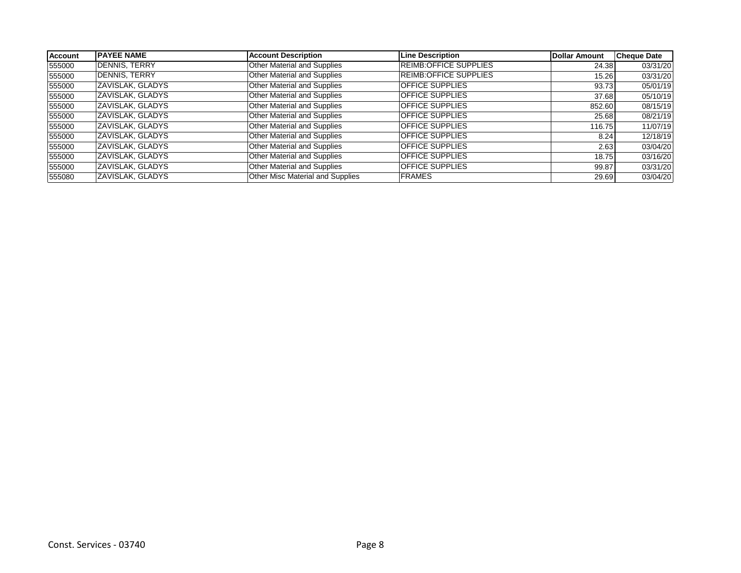| <b>Account</b> | <b>IPAYEE NAME</b>      | <b>Account Description</b>         | <b>Line Description</b>       | Dollar Amount | <b>Cheque Date</b> |
|----------------|-------------------------|------------------------------------|-------------------------------|---------------|--------------------|
| 555000         | <b>DENNIS, TERRY</b>    | <b>Other Material and Supplies</b> | <b>REIMB: OFFICE SUPPLIES</b> | 24.38         | 03/31/20           |
| 555000         | <b>DENNIS, TERRY</b>    | Other Material and Supplies        | <b>REIMB:OFFICE SUPPLIES</b>  | 15.26         | 03/31/20           |
| 555000         | ZAVISLAK, GLADYS        | Other Material and Supplies        | <b>OFFICE SUPPLIES</b>        | 93.73         | 05/01/19           |
| 555000         | ZAVISLAK, GLADYS        | Other Material and Supplies        | <b>OFFICE SUPPLIES</b>        | 37.68         | 05/10/19           |
| 555000         | ZAVISLAK, GLADYS        | Other Material and Supplies        | <b>OFFICE SUPPLIES</b>        | 852.60        | 08/15/19           |
| 555000         | ZAVISLAK, GLADYS        | Other Material and Supplies        | <b>OFFICE SUPPLIES</b>        | 25.68         | 08/21/19           |
| 555000         | <b>ZAVISLAK, GLADYS</b> | Other Material and Supplies        | <b>OFFICE SUPPLIES</b>        | 116.75        | 11/07/19           |
| 555000         | ZAVISLAK, GLADYS        | Other Material and Supplies        | <b>OFFICE SUPPLIES</b>        | 8.24          | 12/18/19           |
| 555000         | ZAVISLAK, GLADYS        | Other Material and Supplies        | <b>OFFICE SUPPLIES</b>        | 2.63          | 03/04/20           |
| 555000         | ZAVISLAK, GLADYS        | Other Material and Supplies        | <b>OFFICE SUPPLIES</b>        | 18.75         | 03/16/20           |
| 555000         | ZAVISLAK, GLADYS        | Other Material and Supplies        | <b>OFFICE SUPPLIES</b>        | 99.87         | 03/31/20           |
| 555080         | ZAVISLAK, GLADYS        | Other Misc Material and Supplies   | <b>FRAMES</b>                 | 29.69         | 03/04/20           |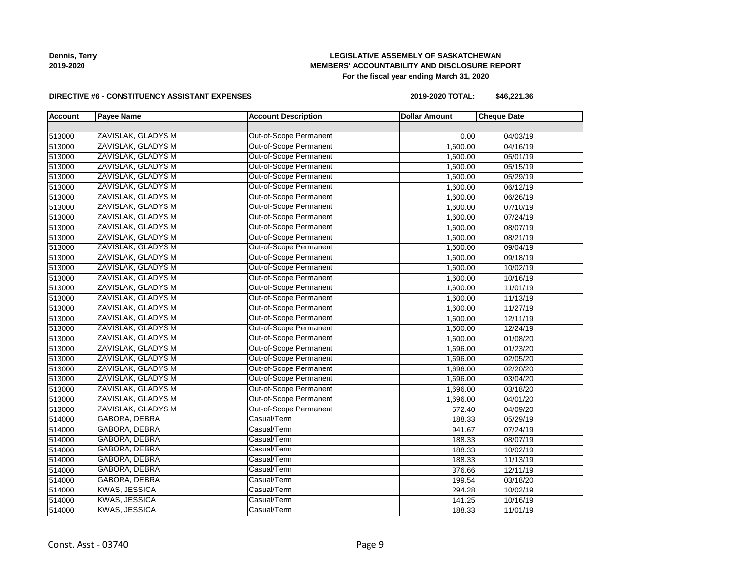**Dennis, Terry 2019-2020**

# **LEGISLATIVE ASSEMBLY OF SASKATCHEWAN MEMBERS' ACCOUNTABILITY AND DISCLOSURE REPORT For the fiscal year ending March 31, 2020**

### **DIRECTIVE #6 - CONSTITUENCY ASSISTANT EXPENSES**

**2019-2020 TOTAL: \$46,221.36**

| <b>Account</b> | <b>Payee Name</b>         | <b>Account Description</b>    | <b>Dollar Amount</b> | <b>Cheque Date</b> |  |
|----------------|---------------------------|-------------------------------|----------------------|--------------------|--|
|                |                           |                               |                      |                    |  |
| 513000         | ZAVISLAK, GLADYS M        | <b>Out-of-Scope Permanent</b> | 0.00                 | 04/03/19           |  |
| 513000         | ZAVISLAK, GLADYS M        | Out-of-Scope Permanent        | 1,600.00             | 04/16/19           |  |
| 513000         | ZAVISLAK, GLADYS M        | Out-of-Scope Permanent        | 1,600.00             | 05/01/19           |  |
| 513000         | ZAVISLAK, GLADYS M        | Out-of-Scope Permanent        | 1,600.00             | 05/15/19           |  |
| 513000         | <b>ZAVISLAK, GLADYS M</b> | Out-of-Scope Permanent        | 1,600.00             | 05/29/19           |  |
| 513000         | ZAVISLAK, GLADYS M        | Out-of-Scope Permanent        | 1,600.00             | 06/12/19           |  |
| 513000         | ZAVISLAK, GLADYS M        | Out-of-Scope Permanent        | 1,600.00             | 06/26/19           |  |
| 513000         | ZAVISLAK, GLADYS M        | Out-of-Scope Permanent        | 1,600.00             | 07/10/19           |  |
| 513000         | ZAVISLAK, GLADYS M        | Out-of-Scope Permanent        | 1,600.00             | 07/24/19           |  |
| 513000         | ZAVISLAK, GLADYS M        | Out-of-Scope Permanent        | 1,600.00             | 08/07/19           |  |
| 513000         | ZAVISLAK, GLADYS M        | Out-of-Scope Permanent        | 1,600.00             | 08/21/19           |  |
| 513000         | ZAVISLAK, GLADYS M        | Out-of-Scope Permanent        | 1,600.00             | 09/04/19           |  |
| 513000         | ZAVISLAK, GLADYS M        | Out-of-Scope Permanent        | 1,600.00             | 09/18/19           |  |
| 513000         | ZAVISLAK, GLADYS M        | Out-of-Scope Permanent        | 1,600.00             | 10/02/19           |  |
| 513000         | ZAVISLAK, GLADYS M        | Out-of-Scope Permanent        | 1,600.00             | 10/16/19           |  |
| 513000         | ZAVISLAK, GLADYS M        | Out-of-Scope Permanent        | 1,600.00             | 11/01/19           |  |
| 513000         | ZAVISLAK, GLADYS M        | Out-of-Scope Permanent        | 1,600.00             | 11/13/19           |  |
| 513000         | ZAVISLAK, GLADYS M        | Out-of-Scope Permanent        | 1,600.00             | 11/27/19           |  |
| 513000         | ZAVISLAK, GLADYS M        | Out-of-Scope Permanent        | 1,600.00             | 12/11/19           |  |
| 513000         | ZAVISLAK, GLADYS M        | Out-of-Scope Permanent        | 1,600.00             | 12/24/19           |  |
| 513000         | ZAVISLAK, GLADYS M        | <b>Out-of-Scope Permanent</b> | 1,600.00             | 01/08/20           |  |
| 513000         | ZAVISLAK, GLADYS M        | Out-of-Scope Permanent        | 1,696.00             | 01/23/20           |  |
| 513000         | ZAVISLAK, GLADYS M        | Out-of-Scope Permanent        | 1,696.00             | 02/05/20           |  |
| 513000         | ZAVISLAK, GLADYS M        | Out-of-Scope Permanent        | 1,696.00             | 02/20/20           |  |
| 513000         | ZAVISLAK, GLADYS M        | Out-of-Scope Permanent        | 1,696.00             | 03/04/20           |  |
| 513000         | ZAVISLAK, GLADYS M        | Out-of-Scope Permanent        | 1,696.00             | 03/18/20           |  |
| 513000         | ZAVISLAK, GLADYS M        | Out-of-Scope Permanent        | 1,696.00             | 04/01/20           |  |
| 513000         | ZAVISLAK, GLADYS M        | Out-of-Scope Permanent        | 572.40               | 04/09/20           |  |
| 514000         | GABORA, DEBRA             | Casual/Term                   | 188.33               | 05/29/19           |  |
| 514000         | <b>GABORA, DEBRA</b>      | Casual/Term                   | 941.67               | 07/24/19           |  |
| 514000         | <b>GABORA, DEBRA</b>      | Casual/Term                   | 188.33               | 08/07/19           |  |
| 514000         | GABORA, DEBRA             | Casual/Term                   | 188.33               | 10/02/19           |  |
| 514000         | GABORA, DEBRA             | Casual/Term                   | 188.33               | 11/13/19           |  |
| 514000         | GABORA, DEBRA             | Casual/Term                   | 376.66               | 12/11/19           |  |
| 514000         | GABORA, DEBRA             | Casual/Term                   | 199.54               | 03/18/20           |  |
| 514000         | <b>KWAS, JESSICA</b>      | Casual/Term                   | 294.28               | 10/02/19           |  |
| 514000         | <b>KWAS, JESSICA</b>      | Casual/Term                   | 141.25               | 10/16/19           |  |
| 514000         | <b>KWAS, JESSICA</b>      | Casual/Term                   | 188.33               | 11/01/19           |  |